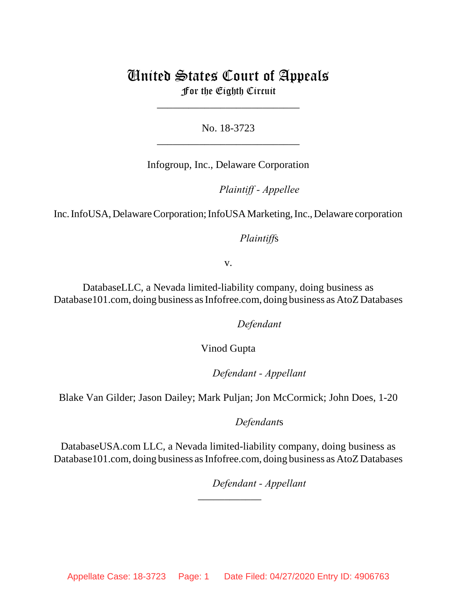## United States Court of Appeals For the Eighth Circuit

\_\_\_\_\_\_\_\_\_\_\_\_\_\_\_\_\_\_\_\_\_\_\_\_\_\_\_

No. 18-3723 \_\_\_\_\_\_\_\_\_\_\_\_\_\_\_\_\_\_\_\_\_\_\_\_\_\_\_

Infogroup, Inc., Delaware Corporation

*Plaintiff - Appellee* 

Inc. InfoUSA, Delaware Corporation; InfoUSA Marketing, Inc., Delaware corporation

*Plaintiffs* 

v.

DatabaseLLC, a Nevada limited-liability company, doing business as Database101.com, doing business as Infofree.com, doing business as AtoZ Databases

Defendant

Vinod Gupta

lllllllllllllllllllll*Defendant - Appellant*

Blake Van Gilder; Jason Dailey; Mark Puljan; Jon McCormick; John Does, 1-20

Defendants

DatabaseUSA.com LLC, a Nevada limited-liability company, doing business as Database101.com, doing business as Infofree.com, doing business as AtoZ Databases

\_\_\_\_\_\_\_\_\_\_\_\_

Defendant - Appellant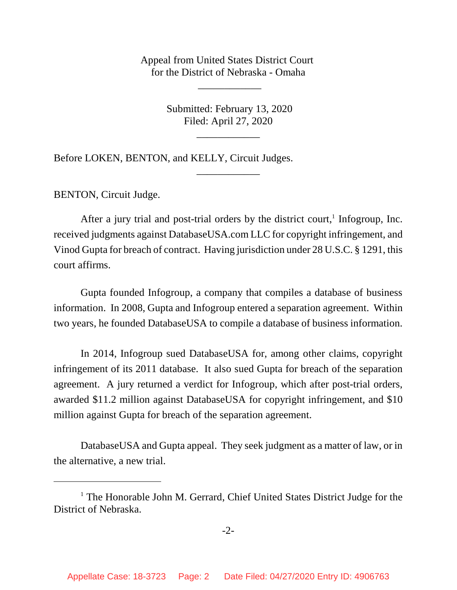Appeal from United States District Court for the District of Nebraska - Omaha

\_\_\_\_\_\_\_\_\_\_\_\_

 Submitted: February 13, 2020 Filed: April 27, 2020

\_\_\_\_\_\_\_\_\_\_\_\_

\_\_\_\_\_\_\_\_\_\_\_\_

Before LOKEN, BENTON, and KELLY, Circuit Judges.

BENTON, Circuit Judge.

After a jury trial and post-trial orders by the district court,<sup>1</sup> Infogroup, Inc. received judgments against DatabaseUSA.com LLC for copyright infringement, and Vinod Gupta for breach of contract. Having jurisdiction under 28 U.S.C. § 1291, this court affirms.

Gupta founded Infogroup, a company that compiles a database of business information. In 2008, Gupta and Infogroup entered a separation agreement. Within two years, he founded DatabaseUSA to compile a database of business information.

In 2014, Infogroup sued DatabaseUSA for, among other claims, copyright infringement of its 2011 database. It also sued Gupta for breach of the separation agreement. A jury returned a verdict for Infogroup, which after post-trial orders, awarded \$11.2 million against DatabaseUSA for copyright infringement, and \$10 million against Gupta for breach of the separation agreement.

DatabaseUSA and Gupta appeal. They seek judgment as a matter of law, or in the alternative, a new trial.

<sup>&</sup>lt;sup>1</sup> The Honorable John M. Gerrard, Chief United States District Judge for the District of Nebraska.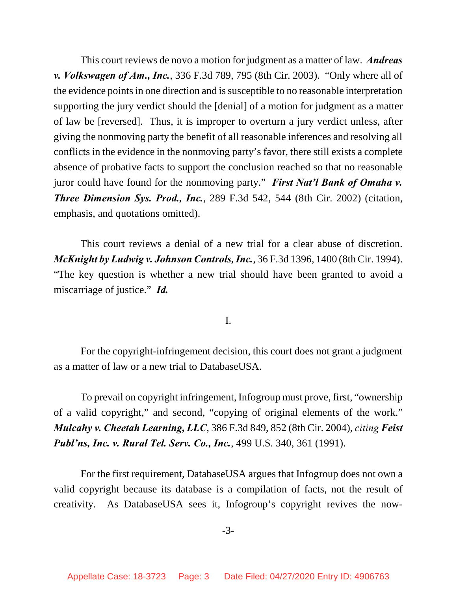This court reviews de novo a motion for judgment as a matter of law. *Andreas v. Volkswagen of Am., Inc.*, 336 F.3d 789, 795 (8th Cir. 2003). "Only where all of the evidence points in one direction and is susceptible to no reasonable interpretation supporting the jury verdict should the [denial] of a motion for judgment as a matter of law be [reversed]. Thus, it is improper to overturn a jury verdict unless, after giving the nonmoving party the benefit of all reasonable inferences and resolving all conflicts in the evidence in the nonmoving party's favor, there still exists a complete absence of probative facts to support the conclusion reached so that no reasonable juror could have found for the nonmoving party." *First Nat'l Bank of Omaha v. Three Dimension Sys. Prod., Inc.*, 289 F.3d 542, 544 (8th Cir. 2002) (citation, emphasis, and quotations omitted).

This court reviews a denial of a new trial for a clear abuse of discretion. *McKnight by Ludwig v. Johnson Controls, Inc.*, 36 F.3d 1396, 1400 (8th Cir. 1994). "The key question is whether a new trial should have been granted to avoid a miscarriage of justice." *Id.*

I.

For the copyright-infringement decision, this court does not grant a judgment as a matter of law or a new trial to DatabaseUSA.

To prevail on copyright infringement, Infogroup must prove, first, "ownership of a valid copyright," and second, "copying of original elements of the work." *Mulcahy v. Cheetah Learning, LLC*, 386 F.3d 849, 852 (8th Cir. 2004), *citing Feist Publ'ns, Inc. v. Rural Tel. Serv. Co., Inc.*, 499 U.S. 340, 361 (1991).

For the first requirement, DatabaseUSA argues that Infogroup does not own a valid copyright because its database is a compilation of facts, not the result of creativity. As DatabaseUSA sees it, Infogroup's copyright revives the now-

-3-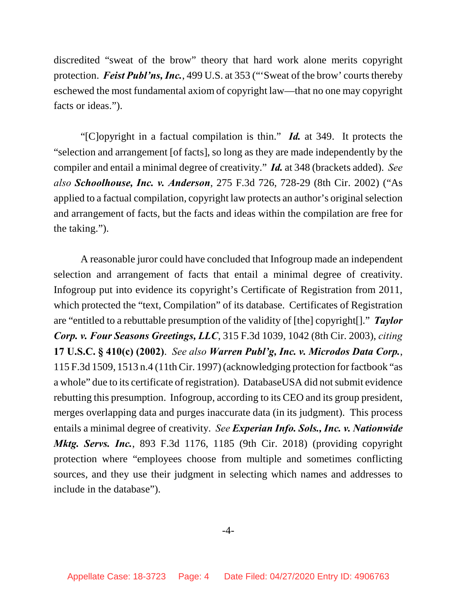discredited "sweat of the brow" theory that hard work alone merits copyright protection. *Feist Publ'ns, Inc.*, 499 U.S. at 353 ("'Sweat of the brow' courts thereby eschewed the most fundamental axiom of copyright law—that no one may copyright facts or ideas.").

"[C]opyright in a factual compilation is thin." *Id.* at 349. It protects the "selection and arrangement [of facts], so long as they are made independently by the compiler and entail a minimal degree of creativity." *Id.* at 348 (brackets added). *See also Schoolhouse, Inc. v. Anderson*, 275 F.3d 726, 728-29 (8th Cir. 2002) ("As applied to a factual compilation, copyright law protects an author's original selection and arrangement of facts, but the facts and ideas within the compilation are free for the taking.").

A reasonable juror could have concluded that Infogroup made an independent selection and arrangement of facts that entail a minimal degree of creativity. Infogroup put into evidence its copyright's Certificate of Registration from 2011, which protected the "text, Compilation" of its database. Certificates of Registration are "entitled to a rebuttable presumption of the validity of [the] copyright[]." *Taylor Corp. v. Four Seasons Greetings, LLC*, 315 F.3d 1039, 1042 (8th Cir. 2003), *citing* **17 U.S.C. § 410(c) (2002)**. *See also Warren Publ'g, Inc. v. Microdos Data Corp.*, 115 F.3d 1509, 1513 n.4 (11th Cir. 1997) (acknowledging protection for factbook "as a whole" due to its certificate of registration). DatabaseUSA did not submit evidence rebutting this presumption. Infogroup, according to its CEO and its group president, merges overlapping data and purges inaccurate data (in its judgment). This process entails a minimal degree of creativity. *See Experian Info. Sols., Inc. v. Nationwide Mktg. Servs. Inc.*, 893 F.3d 1176, 1185 (9th Cir. 2018) (providing copyright protection where "employees choose from multiple and sometimes conflicting sources, and they use their judgment in selecting which names and addresses to include in the database").

## -4-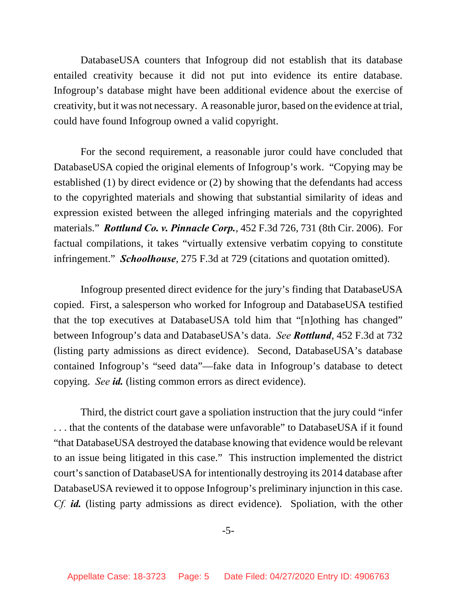DatabaseUSA counters that Infogroup did not establish that its database entailed creativity because it did not put into evidence its entire database. Infogroup's database might have been additional evidence about the exercise of creativity, but it was not necessary. A reasonable juror, based on the evidence at trial, could have found Infogroup owned a valid copyright.

For the second requirement, a reasonable juror could have concluded that DatabaseUSA copied the original elements of Infogroup's work. "Copying may be established (1) by direct evidence or (2) by showing that the defendants had access to the copyrighted materials and showing that substantial similarity of ideas and expression existed between the alleged infringing materials and the copyrighted materials." *Rottlund Co. v. Pinnacle Corp.*, 452 F.3d 726, 731 (8th Cir. 2006). For factual compilations, it takes "virtually extensive verbatim copying to constitute infringement." *Schoolhouse*, 275 F.3d at 729 (citations and quotation omitted).

Infogroup presented direct evidence for the jury's finding that DatabaseUSA copied. First, a salesperson who worked for Infogroup and DatabaseUSA testified that the top executives at DatabaseUSA told him that "[n]othing has changed" between Infogroup's data and DatabaseUSA's data. *See Rottlund*, 452 F.3d at 732 (listing party admissions as direct evidence). Second, DatabaseUSA's database contained Infogroup's "seed data"—fake data in Infogroup's database to detect copying. *See id.* (listing common errors as direct evidence).

Third, the district court gave a spoliation instruction that the jury could "infer . . . that the contents of the database were unfavorable" to DatabaseUSA if it found "that DatabaseUSA destroyed the database knowing that evidence would be relevant to an issue being litigated in this case." This instruction implemented the district court's sanction of DatabaseUSA for intentionally destroying its 2014 database after DatabaseUSA reviewed it to oppose Infogroup's preliminary injunction in this case. *Cf. id.* (listing party admissions as direct evidence). Spoliation, with the other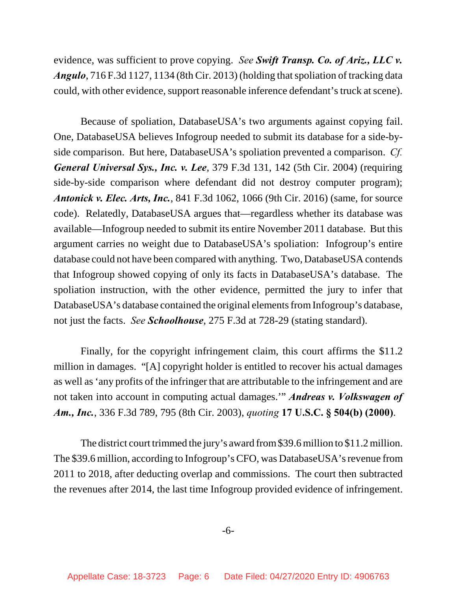evidence, was sufficient to prove copying. *See Swift Transp. Co. of Ariz., LLC v. Angulo*, 716 F.3d 1127, 1134 (8th Cir. 2013) (holding that spoliation of tracking data could, with other evidence, support reasonable inference defendant's truck at scene).

Because of spoliation, DatabaseUSA's two arguments against copying fail. One, DatabaseUSA believes Infogroup needed to submit its database for a side-byside comparison. But here, DatabaseUSA's spoliation prevented a comparison. *Cf. General Universal Sys., Inc. v. Lee*, 379 F.3d 131, 142 (5th Cir. 2004) (requiring side-by-side comparison where defendant did not destroy computer program); *Antonick v. Elec. Arts, Inc.*, 841 F.3d 1062, 1066 (9th Cir. 2016) (same, for source code). Relatedly, DatabaseUSA argues that—regardless whether its database was available—Infogroup needed to submit its entire November 2011 database. But this argument carries no weight due to DatabaseUSA's spoliation: Infogroup's entire database could not have been compared with anything. Two, DatabaseUSA contends that Infogroup showed copying of only its facts in DatabaseUSA's database. The spoliation instruction, with the other evidence, permitted the jury to infer that DatabaseUSA's database contained the original elements from Infogroup's database, not just the facts. *See Schoolhouse*, 275 F.3d at 728-29 (stating standard).

Finally, for the copyright infringement claim, this court affirms the \$11.2 million in damages. "[A] copyright holder is entitled to recover his actual damages as well as 'any profits of the infringer that are attributable to the infringement and are not taken into account in computing actual damages.'" *Andreas v. Volkswagen of Am., Inc.*, 336 F.3d 789, 795 (8th Cir. 2003), *quoting* **17 U.S.C. § 504(b) (2000)**.

The district court trimmed the jury's award from \$39.6 million to \$11.2 million. The \$39.6 million, according to Infogroup's CFO, was DatabaseUSA's revenue from 2011 to 2018, after deducting overlap and commissions. The court then subtracted the revenues after 2014, the last time Infogroup provided evidence of infringement.

-6-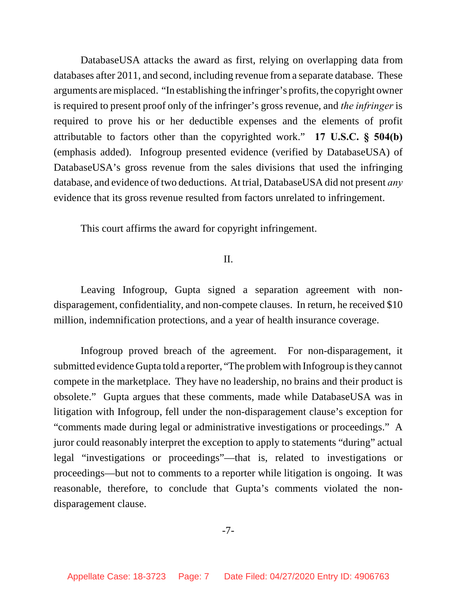DatabaseUSA attacks the award as first, relying on overlapping data from databases after 2011, and second, including revenue from a separate database. These arguments are misplaced. "In establishing the infringer's profits, the copyright owner is required to present proof only of the infringer's gross revenue, and *the infringer* is required to prove his or her deductible expenses and the elements of profit attributable to factors other than the copyrighted work." **17 U.S.C. § 504(b)** (emphasis added). Infogroup presented evidence (verified by DatabaseUSA) of DatabaseUSA's gross revenue from the sales divisions that used the infringing database, and evidence of two deductions. At trial, DatabaseUSA did not present *any* evidence that its gross revenue resulted from factors unrelated to infringement.

This court affirms the award for copyright infringement.

## II.

Leaving Infogroup, Gupta signed a separation agreement with nondisparagement, confidentiality, and non-compete clauses. In return, he received \$10 million, indemnification protections, and a year of health insurance coverage.

Infogroup proved breach of the agreement. For non-disparagement, it submitted evidence Gupta told a reporter, "The problem with Infogroup is they cannot compete in the marketplace. They have no leadership, no brains and their product is obsolete." Gupta argues that these comments, made while DatabaseUSA was in litigation with Infogroup, fell under the non-disparagement clause's exception for "comments made during legal or administrative investigations or proceedings." A juror could reasonably interpret the exception to apply to statements "during" actual legal "investigations or proceedings"—that is, related to investigations or proceedings—but not to comments to a reporter while litigation is ongoing. It was reasonable, therefore, to conclude that Gupta's comments violated the nondisparagement clause.

-7-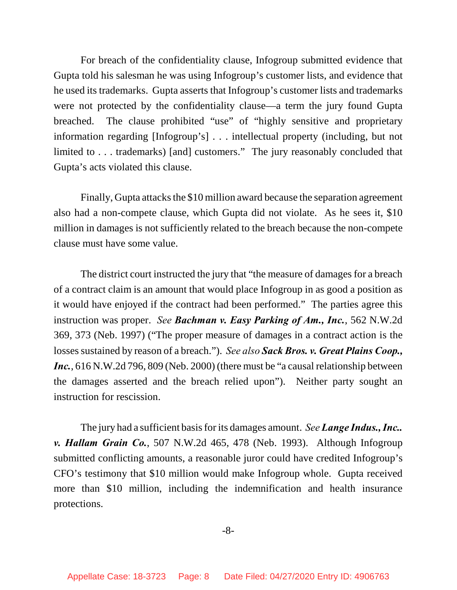For breach of the confidentiality clause, Infogroup submitted evidence that Gupta told his salesman he was using Infogroup's customer lists, and evidence that he used its trademarks. Gupta asserts that Infogroup's customer lists and trademarks were not protected by the confidentiality clause—a term the jury found Gupta breached. The clause prohibited "use" of "highly sensitive and proprietary information regarding [Infogroup's] . . . intellectual property (including, but not limited to . . . trademarks) [and] customers." The jury reasonably concluded that Gupta's acts violated this clause.

Finally, Gupta attacks the \$10 million award because the separation agreement also had a non-compete clause, which Gupta did not violate. As he sees it, \$10 million in damages is not sufficiently related to the breach because the non-compete clause must have some value.

The district court instructed the jury that "the measure of damages for a breach of a contract claim is an amount that would place Infogroup in as good a position as it would have enjoyed if the contract had been performed." The parties agree this instruction was proper. *See Bachman v. Easy Parking of Am., Inc.*, 562 N.W.2d 369, 373 (Neb. 1997) ("The proper measure of damages in a contract action is the losses sustained by reason of a breach."). *See also Sack Bros. v. Great Plains Coop., Inc.*, 616 N.W.2d 796, 809 (Neb. 2000) (there must be "a causal relationship between the damages asserted and the breach relied upon"). Neither party sought an instruction for rescission.

The jury had a sufficient basis for its damages amount. *See Lange Indus., Inc.. v. Hallam Grain Co.*, 507 N.W.2d 465, 478 (Neb. 1993). Although Infogroup submitted conflicting amounts, a reasonable juror could have credited Infogroup's CFO's testimony that \$10 million would make Infogroup whole. Gupta received more than \$10 million, including the indemnification and health insurance protections.

-8-